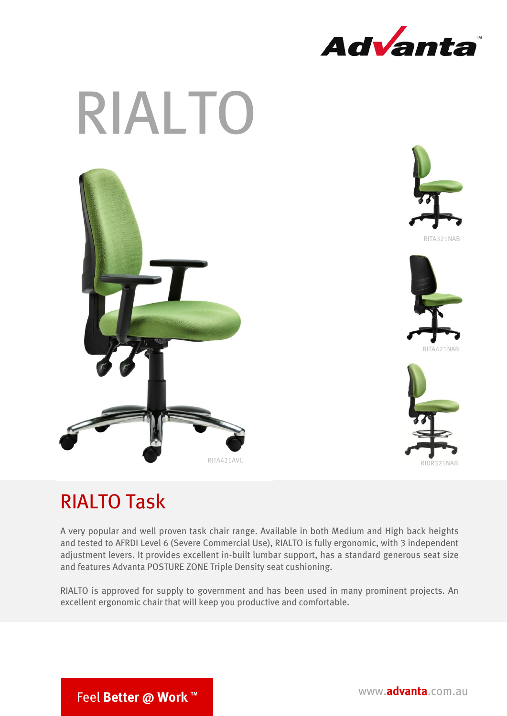



## RIALTO Task

A very popular and well proven task chair range. Available in both Medium and High back heights and tested to AFRDI Level 6 (Severe Commercial Use), RIALTO is fully ergonomic, with 3 independent adjustment levers. It provides excellent in-built lumbar support, has a standard generous seat size and features Advanta POSTURE ZONE Triple Density seat cushioning.

RIALTO is approved for supply to government and has been used in many prominent projects. An excellent ergonomic chair that will keep you productive and comfortable.